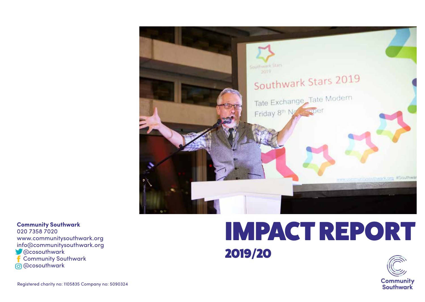

**Community Southwark** 020 7358 7020 www.communitysouthwark.org info@communitysouthwark.org **Cosouthwark**  Community Southwark 0 @cosouthwark

# IMPACT REPORT 2019/20

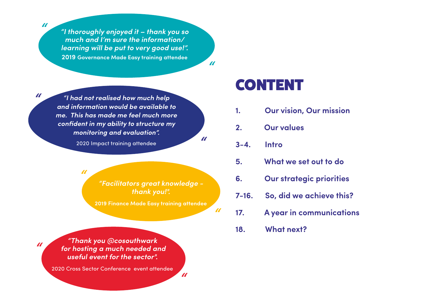*"*

*"*

*"*

*"I thoroughly enjoyed it – thank you so much and I'm sure the information/ learning will be put to very good use!".* **2019 Governance Made Easy training attendee** 

*"*

*"*

*"*

*"*

*"I had not realised how much help and information would be available to me. This has made me feel much more confident in my ability to structure my monitoring and evaluation".*

2020 Impact training attendee

*"*

*"Facilitators great knowledge thank you!".* 

**2019 Finance Made Easy training attendee**

*"Thank you @cosouthwark for hosting a much needed and useful event for the sector".* 

2020 Cross Sector Conference event attendee

# CONTENT

- **1. Our vision, Our mission**
- **2. Our values**
- **3-4. Intro**
- **5. What we set out to do**
- **6. Our strategic priorities**
- **7-16. So, did we achieve this?**
- **17. A year in communications**

**18. What next?**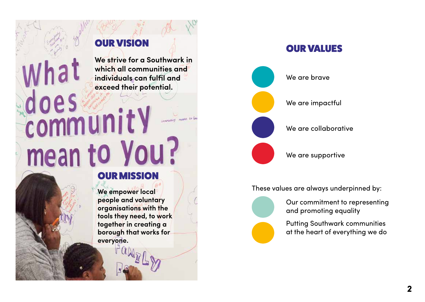# OUR VISION

**We strive for a Southwark in which all communities and individuals can fulfil and** 

# does exceed their potential. mean to You?

OUR MISSION

**We empower local people and voluntary organisations with the tools they need, to work together in creating a borough that works for everyone.**



OUR VALUES

These values are always underpinned by:

Our commitment to representing and promoting equality

Putting Southwark communities at the heart of everything we do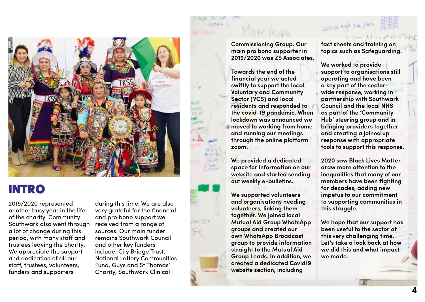

# INTRO

2019/2020 represented another busy year in the life of the charity. Community Southwark also went through a lot of change during this period, with many staff and trustees leaving the charity. We appreciate the support and dedication of all our staff, trustees, volunteers, funders and supporters

during this time. We are also very grateful for the financial and pro bono support we received from a range of sources. Our main funder remains Southwark Council and other key funders include: City Bridge Trust, National Lottery Communities Fund, Guys and St Thomas' Charity, Southwark Clinical

#### **Commissioning Group. Our main pro bono supporter in 2019/2020 was ZS Associates.**

**Towards the end of the financial year we acted swiftly to support the local Voluntary and Community Sector (VCS) and local residents and responded to the covid-19 pandemic. When lockdown was announced we moved to working from home and running our meetings through the online platform zoom.** 

**We provided a dedicated space for information on our website and started sending out weekly e-bulletins.** 

**We supported volunteers and organisations needing volunteers, linking them together. We joined local Mutual Aid Group WhatsApp groups and created our own WhatsApp Broadcast group to provide information straight to the Mutual Aid Group Leads. In addition, we created a dedicated Covid19 website section, including** 

**fact sheets and training on topics such as Safeguarding.** 

someon half nice

**We worked to provide support to organisations still operating and have been a key part of the sectorwide response, working in partnership with Southwark Council and the local NHS as part of the 'Community Hub' steering group and in bringing providers together and creating a joined up response with appropriate tools to support this response.**

**2020 saw Black Lives Matter draw more attention to the inequalities that many of our members have been fighting for decades, adding new impetus to our commitment to supporting communities in this struggle.** 

**We hope that our support has been useful to the sector at this very challenging time. Let's take a look back at how we did this and what impact we made.**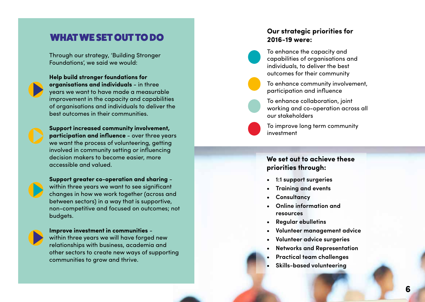Through our strategy, 'Building Stronger Foundations', we said we would:



**Help build stronger foundations for organisations and individuals** - in three years we want to have made a measurable improvement in the capacity and capabilities of organisations and individuals to deliver the best outcomes in their communities.

**Support increased community involvement, participation and influence** - over three years we want the process of volunteering, getting involved in community setting or influencing decision makers to become easier, more accessible and valued.

**Support greater co-operation and sharing** within three years we want to see significant changes in how we work together (across and between sectors) in a way that is supportive, non-competitive and focused on outcomes; not budgets.



**Improve investment in communities** within three years we will have forged new relationships with business, academia and other sectors to create new ways of supporting

communities to grow and thrive.

#### WHAT WE SET OUT TO DO **Our strategic priorities for 2016-19 were:**

To enhance the capacity and capabilities of organisations and individuals, to deliver the best outcomes for their community

To enhance community involvement, participation and influence

To enhance collaboration, joint working and co-operation across all our stakeholders

To improve long term community investment

#### **We set out to achieve these priorities through:**

- **• 1:1 support surgeries • Training and events • Consultancy • Online information and**
- 
- 
- **resources**
- 
- 
- 
- **• Regular ebulletins • Volunteer management advice • Volunteer advice surgeries • Networks and Representation • Practical team challenges • Skills-based volunteering**
- 
-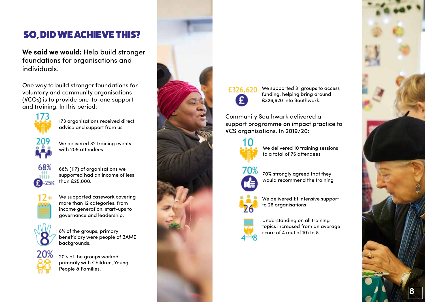## SO, DID WE ACHIEVE THIS?

**We said we would:** Help build stronger foundations for organisations and individuals.

One way to build stronger foundations for voluntary and community organisations (VCOs) is to provide one-to-one support and training. In this period:



We delivered 32 training events with 209 attendees

173 organisations received direct advice and support from us



68% (117) of organisations we supported had an income of less than £25,000.



We supported casework covering more than 12 categories, from income generation, start-ups to governance and leadership.



8% of the groups, primary beneficiary were people of BAME backgrounds.



20% of the groups worked primarily with Children, Young People & Families.



# £326.620

We supported 31 groups to access funding, helping bring around £326,620 into Southwark.

Community Southwark delivered a support programme on impact practice to VCS organisations. In 2019/20:



We delivered 10 training sessions to a total of 76 attendees



70% strongly agreed that they would recommend the training



We delivered 1:1 intensive support to 26 organisations



Understanding on all training topics increased from an average score of 4 (out of 10) to 8

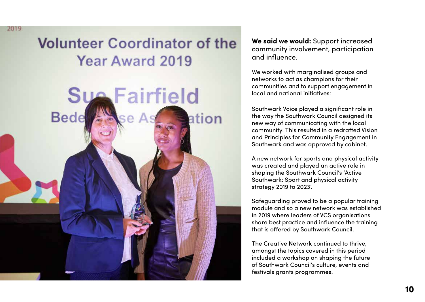# **Volunteer Coordinator of the** Year Award 2019

2019



**We said we would:** Support increased community involvement, participation and influence.

We worked with marginalised groups and networks to act as champions for their communities and to support engagement in local and national initiatives:

Southwark Voice played a significant role in the way the Southwark Council designed its new way of communicating with the local community. This resulted in a redrafted Vision and Principles for Community Engagement in Southwark and was approved by cabinet.

A new network for sports and physical activity was created and played an active role in shaping the Southwark Council's 'Active Southwark: Sport and physical activity strategy 2019 to 2023'.

Safeguarding proved to be a popular training module and so a new network was established in 2019 where leaders of VCS organisations share best practice and influence the training that is offered by Southwark Council.

The Creative Network continued to thrive, amongst the topics covered in this period included a workshop on shaping the future of Southwark Council's culture, events and festivals grants programmes.

**10**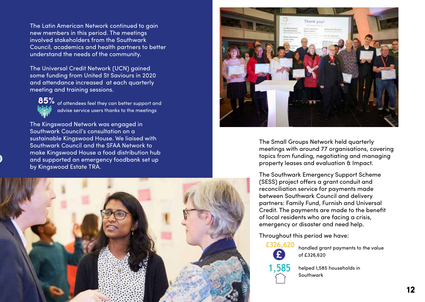The Latin American Network continued to gain new members in this period. The meetings involved stakeholders from the Southwark Council, academics and health partners to better understand the needs of the community.

The Universal Credit Network (UCN) gained some funding from United St Saviours in 2020 and attendance increased at each quarterly meeting and training sessions.



 $85\%$  of attendees feel they can better support and advise service users thanks to the meetings

The Kingswood Network was engaged in Southwark Council's consultation on a sustainable Kingswood House. We liaised with Southwark Council and the SFAA Network to make Kingswood House a food distribution hub and supported an emergency foodbank set up by Kingswood Estate TRA.





The Small Groups Network held quarterly meetings with around 77 organisations, covering topics from funding, negotiating and managing property leases and evaluation & Impact.

The Southwark Emergency Support Scheme (SESS) project offers a grant conduit and reconciliation service for payments made between Southwark Council and delivery partners: Family Fund, Furnish and Universal Credit. The payments are made to the benefit of local residents who are facing a crisis, emergency or disaster and need help.

Throughout this period we have:



handled grant payments to the value of £326,620

helped 1,585 households in Southwark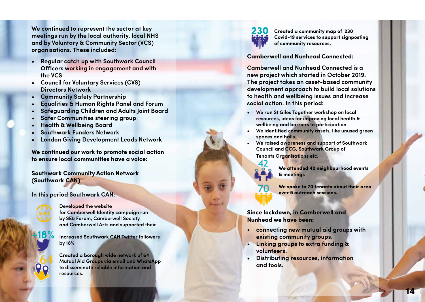**We continued to represent the sector at key meetings run by the local authority, local NHS and by Voluntary & Community Sector (VCS) organisations. These included: • Regular catch up with Southwark Council** 

- **Officers working in engagement and with the VCS**
- **• Council for Voluntary Services (CVS)**
- 
- **Directors Network • Community Safety Partnership • Equalities & Human Rights Panel and Forum**
- **• Safeguarding Children and Adults Joint Board • Safer Communities steering group • Health & Wellbeing Board • Southwark Funders Network • London Giving Development Leads Network**
- 
- 
- 
- 

**We continued our work to promote social action to ensure local communities have a voice:** 

**Southwark Community Action Network (Southwark CAN)** 

**In this period Southwark CAN:** 



**+18%**

**Developed the website for Camberwell Identity campaign run by SE5 Forum, Camberwell Society and Camberwell Arts and supported their** 

**Increased Southwark CAN Twitter followers by 18%**

**Created a borough wide network of 64 Mutual Aid Groups via email and WhatsApp to disseminate reliable information and resources.**



42

**Created a community map of 230 Covid-19 services to support signposting of community resources.**

**Camberwell and Nunhead Connected:** 

**Camberwell and Nunhead Connected is a new project which started in October 2019. The project takes an asset-based community development approach to build local solutions to health and wellbeing issues and increase social action. In this period: • We ran St Giles Together workshop on local** 

- **resources, ideas for improving local health & wellbeing and barriers to participation**
- **• We identified community assets, like unused green spaces and halls.**
- **• We raised awareness and support of Southwark Council and CCG, Southwark Group of Tenants Organisations etc.**

**We attended 42 neighbourhood events & meetings**

**We spoke to 70 tenants about their area over 5 outreach sessions.** 

**Since lockdown, in Camberwell and Nunhead we have been:**

- **• connecting new mutual aid groups with existing community groups.**
- **• Linking groups to extra funding & volunteers.**
- **• Distributing resources, information and tools.**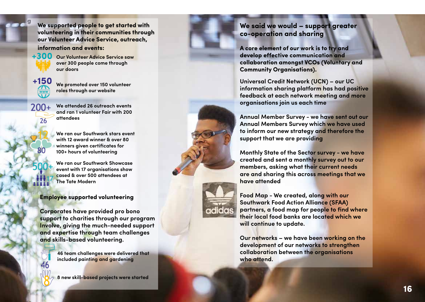**We supported people to get started with volunteering in their communities through our Volunteer Advice Service, outreach, information and events:**

 $+300$  Our Volunteer Advice Service saw **over 300 people come through our doors** 

**g**

**+150**

 $200+$ 

26

**We promoted over 150 volunteer roles through our website** 

**We attended 26 outreach events and ran 1 volunteer Fair with 200 attendees**

**We ran our Southwark stars event with 12 award winner & over 80 winners given certificates for 100+ hours of volunteering**

**We ran our Southwark Showcase event with 17 organisations show cased & over 500 attendees at The Tate Modern**

#### **Employee supported volunteering**

**Corporates have provided pro bono support to charities through our program Involve, giving the much-needed support and expertise through team challenges and skills-based volunteering.** 

> **46 team challenges were delivered that included painting and gardening**

**8 new skill-based projects were started** 

#### **We said we would – support greater co-operation and sharing**

**A core element of our work is to try and develop effective communication and collaboration amongst VCOs (Voluntary and Community Organisations).** 

**Universal Credit Network (UCN) – our UC information sharing platform has had positive feedback at each network meeting and more organisations join us each time** 

**Annual Member Survey - we have sent out our Annual Members Survey which we have used to inform our new strategy and therefore the support that we are providing** 

**Monthly State of the Sector survey - we have created and sent a monthly survey out to our members, asking what their current needs are and sharing this across meetings that we have attended** 

**Food Map - We created, along with our Southwark Food Action Alliance (SFAA) partners, a food map for people to find where their local food banks are located which we will continue to update.** 

**Our networks – we have been working on the development of our networks to strengthen collaboration between the organisations who attend.**